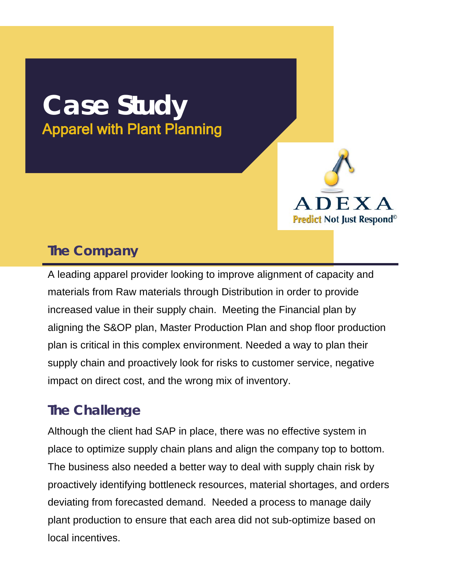## **Case Study** Apparel with Plant Planning



## **The Company**

A leading apparel provider looking to improve alignment of capacity and materials from Raw materials through Distribution in order to provide increased value in their supply chain. Meeting the Financial plan by aligning the S&OP plan, Master Production Plan and shop floor production plan is critical in this complex environment. Needed a way to plan their supply chain and proactively look for risks to customer service, negative impact on direct cost, and the wrong mix of inventory.

## **The Challenge**

 Although the client had SAP in place, there was no effective system in place to optimize supply chain plans and align the company top to bottom. The business also needed a better way to deal with supply chain risk by proactively identifying bottleneck resources, material shortages, and orders deviating from forecasted demand. Needed a process to manage daily plant production to ensure that each area did not sub-optimize based on local incentives.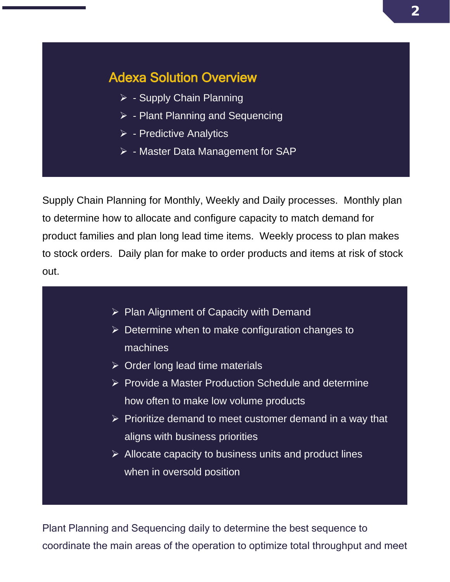## Adexa Solution Overview

- $\triangleright$  Supply Chain Planning
- $\triangleright$  Plant Planning and Sequencing
- $\triangleright$  Predictive Analytics
- $\triangleright$  Master Data Management for SAP

Supply Chain Planning for Monthly, Weekly and Daily processes. Monthly plan to determine how to allocate and configure capacity to match demand for product families and plan long lead time items. Weekly process to plan makes to stock orders. Daily plan for make to order products and items at risk of stock out.

- $\triangleright$  Plan Alignment of Capacity with Demand
- $\triangleright$  Determine when to make configuration changes to machines
- $\triangleright$  Order long lead time materials
- $\triangleright$  Provide a Master Production Schedule and determine how often to make low volume products
- $\triangleright$  Prioritize demand to meet customer demand in a way that aligns with business priorities
- $\triangleright$  Allocate capacity to business units and product lines when in oversold position

Plant Planning and Sequencing daily to determine the best sequence to coordinate the main areas of the operation to optimize total throughput and meet